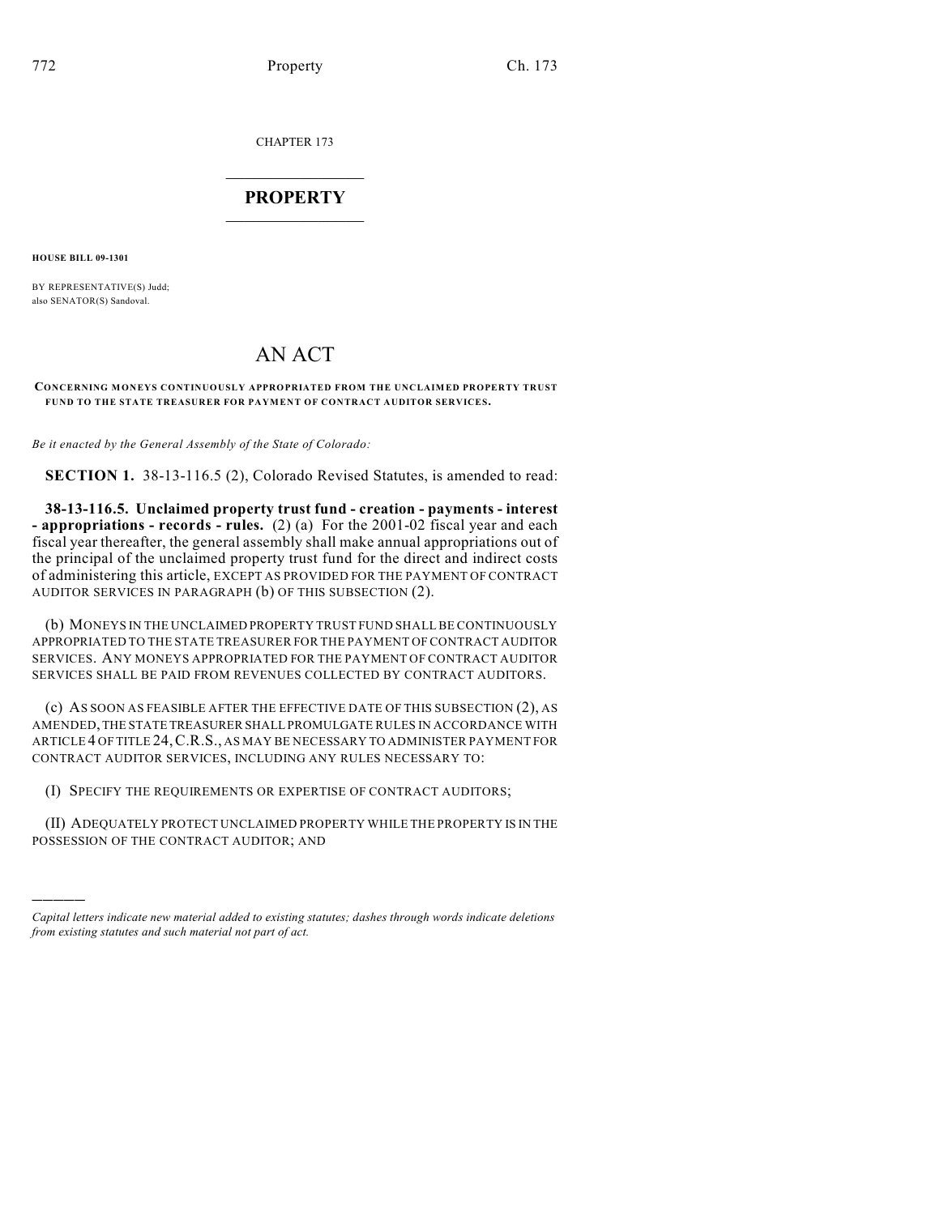CHAPTER 173

## $\overline{\phantom{a}}$  . The set of the set of the set of the set of the set of the set of the set of the set of the set of the set of the set of the set of the set of the set of the set of the set of the set of the set of the set o **PROPERTY**  $\_$   $\_$   $\_$   $\_$   $\_$   $\_$   $\_$   $\_$   $\_$

**HOUSE BILL 09-1301**

)))))

BY REPRESENTATIVE(S) Judd; also SENATOR(S) Sandoval.

## AN ACT

## **CONCERNING MONEYS CONTINUOUSLY APPROPRIATED FROM THE UNCLAIMED PROPERTY TRUST FUND TO THE STATE TREASURER FOR PAYMENT OF CONTRACT AUDITOR SERVICES.**

*Be it enacted by the General Assembly of the State of Colorado:*

**SECTION 1.** 38-13-116.5 (2), Colorado Revised Statutes, is amended to read:

**38-13-116.5. Unclaimed property trust fund - creation - payments - interest - appropriations - records - rules.** (2) (a) For the 2001-02 fiscal year and each fiscal year thereafter, the general assembly shall make annual appropriations out of the principal of the unclaimed property trust fund for the direct and indirect costs of administering this article, EXCEPT AS PROVIDED FOR THE PAYMENT OF CONTRACT AUDITOR SERVICES IN PARAGRAPH (b) OF THIS SUBSECTION (2).

(b) MONEYS IN THE UNCLAIMED PROPERTY TRUST FUND SHALL BE CONTINUOUSLY APPROPRIATED TO THE STATE TREASURER FOR THE PAYMENT OF CONTRACT AUDITOR SERVICES. ANY MONEYS APPROPRIATED FOR THE PAYMENT OF CONTRACT AUDITOR SERVICES SHALL BE PAID FROM REVENUES COLLECTED BY CONTRACT AUDITORS.

(c) AS SOON AS FEASIBLE AFTER THE EFFECTIVE DATE OF THIS SUBSECTION (2), AS AMENDED, THE STATE TREASURER SHALL PROMULGATE RULES IN ACCORDANCE WITH ARTICLE 4 OF TITLE 24,C.R.S., AS MAY BE NECESSARY TO ADMINISTER PAYMENT FOR CONTRACT AUDITOR SERVICES, INCLUDING ANY RULES NECESSARY TO:

(I) SPECIFY THE REQUIREMENTS OR EXPERTISE OF CONTRACT AUDITORS;

(II) ADEQUATELY PROTECT UNCLAIMED PROPERTY WHILE THE PROPERTY IS IN THE POSSESSION OF THE CONTRACT AUDITOR; AND

*Capital letters indicate new material added to existing statutes; dashes through words indicate deletions from existing statutes and such material not part of act.*